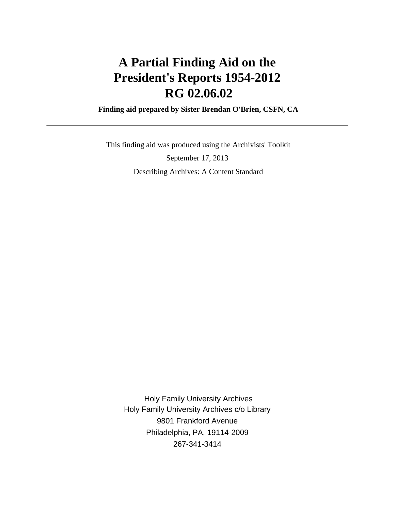# **A Partial Finding Aid on the President's Reports 1954-2012 RG 02.06.02**

 **Finding aid prepared by Sister Brendan O'Brien, CSFN, CA**

 This finding aid was produced using the Archivists' Toolkit September 17, 2013 Describing Archives: A Content Standard

 Holy Family University Archives Holy Family University Archives c/o Library 9801 Frankford Avenue Philadelphia, PA, 19114-2009 267-341-3414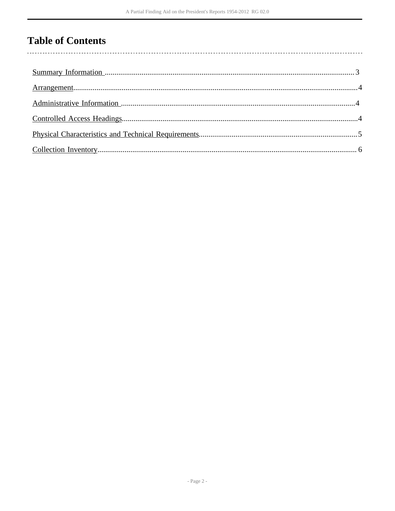# **Table of Contents**

 $\overline{\phantom{a}}$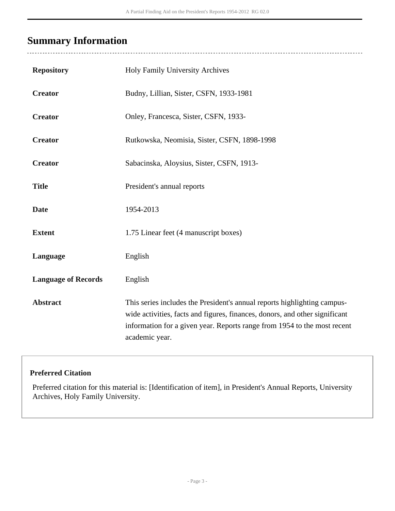# <span id="page-2-0"></span>**Summary Information**

 $\overline{a}$ 

| <b>Repository</b>          | Holy Family University Archives                                                                                                                                                                                                                       |
|----------------------------|-------------------------------------------------------------------------------------------------------------------------------------------------------------------------------------------------------------------------------------------------------|
| <b>Creator</b>             | Budny, Lillian, Sister, CSFN, 1933-1981                                                                                                                                                                                                               |
| <b>Creator</b>             | Onley, Francesca, Sister, CSFN, 1933-                                                                                                                                                                                                                 |
| <b>Creator</b>             | Rutkowska, Neomisia, Sister, CSFN, 1898-1998                                                                                                                                                                                                          |
| <b>Creator</b>             | Sabacinska, Aloysius, Sister, CSFN, 1913-                                                                                                                                                                                                             |
| <b>Title</b>               | President's annual reports                                                                                                                                                                                                                            |
| <b>Date</b>                | 1954-2013                                                                                                                                                                                                                                             |
| <b>Extent</b>              | 1.75 Linear feet (4 manuscript boxes)                                                                                                                                                                                                                 |
| Language                   | English                                                                                                                                                                                                                                               |
| <b>Language of Records</b> | English                                                                                                                                                                                                                                               |
| <b>Abstract</b>            | This series includes the President's annual reports highlighting campus-<br>wide activities, facts and figures, finances, donors, and other significant<br>information for a given year. Reports range from 1954 to the most recent<br>academic year. |

### **Preferred Citation**

Preferred citation for this material is: [Identification of item], in President's Annual Reports, University Archives, Holy Family University.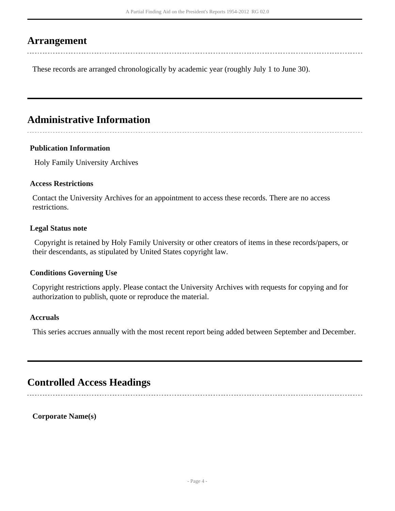### <span id="page-3-0"></span>**Arrangement**

These records are arranged chronologically by academic year (roughly July 1 to June 30).

# <span id="page-3-1"></span>**Administrative Information**

#### **Publication Information**

Holy Family University Archives

#### **Access Restrictions**

Contact the University Archives for an appointment to access these records. There are no access restrictions.

#### **Legal Status note**

 Copyright is retained by Holy Family University or other creators of items in these records/papers, or their descendants, as stipulated by United States copyright law.

#### **Conditions Governing Use**

Copyright restrictions apply. Please contact the University Archives with requests for copying and for authorization to publish, quote or reproduce the material.

#### **Accruals**

This series accrues annually with the most recent report being added between September and December.

## <span id="page-3-2"></span>**Controlled Access Headings**

**Corporate Name(s)**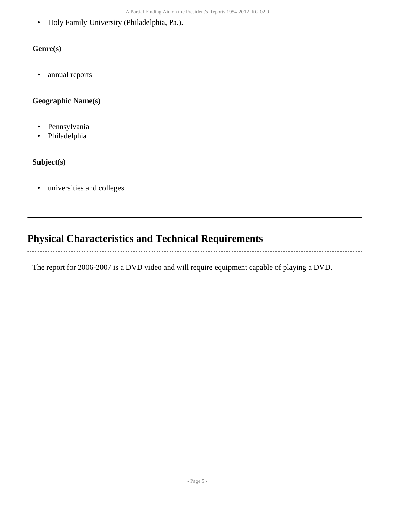• Holy Family University (Philadelphia, Pa.).

### **Genre(s)**

• annual reports

### **Geographic Name(s)**

- Pennsylvania
- Philadelphia

### **Subject(s)**

. . . . . . **.** 

• universities and colleges

# <span id="page-4-0"></span>**Physical Characteristics and Technical Requirements**

The report for 2006-2007 is a DVD video and will require equipment capable of playing a DVD.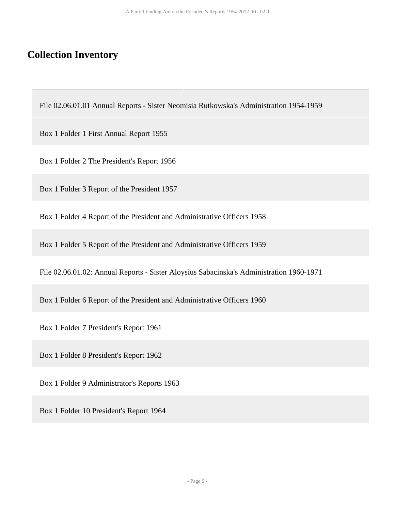## <span id="page-5-0"></span>**Collection Inventory**

File 02.06.01.01 Annual Reports - Sister Neomisia Rutkowska's Administration 1954-1959

Box 1 Folder 1 First Annual Report 1955

Box 1 Folder 2 The President's Report 1956

Box 1 Folder 3 Report of the President 1957

Box 1 Folder 4 Report of the President and Administrative Officers 1958

Box 1 Folder 5 Report of the President and Administrative Officers 1959

File 02.06.01.02: Annual Reports - Sister Aloysius Sabacinska's Administration 1960-1971

Box 1 Folder 6 Report of the President and Administrative Officers 1960

Box 1 Folder 7 President's Report 1961

Box 1 Folder 8 President's Report 1962

Box 1 Folder 9 Administrator's Reports 1963

Box 1 Folder 10 President's Report 1964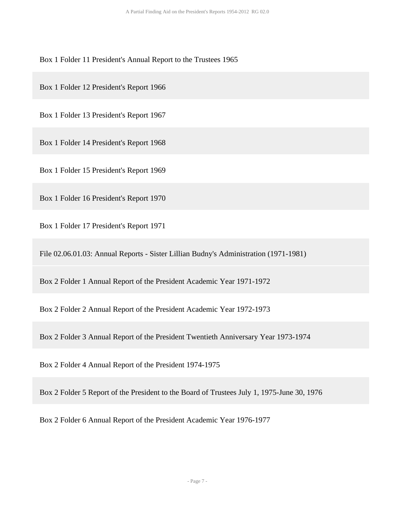Box 1 Folder 11 President's Annual Report to the Trustees 1965

Box 1 Folder 12 President's Report 1966

Box 1 Folder 13 President's Report 1967

Box 1 Folder 14 President's Report 1968

Box 1 Folder 15 President's Report 1969

Box 1 Folder 16 President's Report 1970

Box 1 Folder 17 President's Report 1971

File 02.06.01.03: Annual Reports - Sister Lillian Budny's Administration (1971-1981)

Box 2 Folder 1 Annual Report of the President Academic Year 1971-1972

Box 2 Folder 2 Annual Report of the President Academic Year 1972-1973

Box 2 Folder 3 Annual Report of the President Twentieth Anniversary Year 1973-1974

Box 2 Folder 4 Annual Report of the President 1974-1975

Box 2 Folder 5 Report of the President to the Board of Trustees July 1, 1975-June 30, 1976

Box 2 Folder 6 Annual Report of the President Academic Year 1976-1977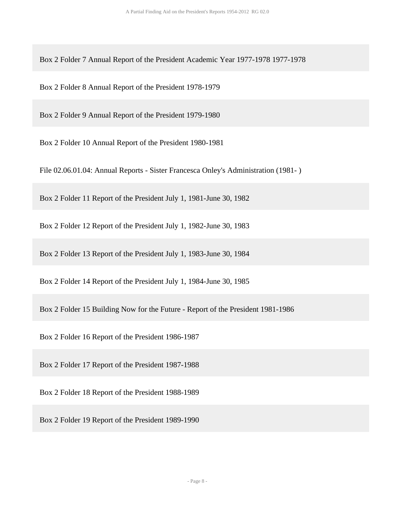Box 2 Folder 7 Annual Report of the President Academic Year 1977-1978 1977-1978

Box 2 Folder 8 Annual Report of the President 1978-1979

Box 2 Folder 9 Annual Report of the President 1979-1980

Box 2 Folder 10 Annual Report of the President 1980-1981

File 02.06.01.04: Annual Reports - Sister Francesca Onley's Administration (1981- )

Box 2 Folder 11 Report of the President July 1, 1981-June 30, 1982

Box 2 Folder 12 Report of the President July 1, 1982-June 30, 1983

Box 2 Folder 13 Report of the President July 1, 1983-June 30, 1984

Box 2 Folder 14 Report of the President July 1, 1984-June 30, 1985

Box 2 Folder 15 Building Now for the Future - Report of the President 1981-1986

Box 2 Folder 16 Report of the President 1986-1987

Box 2 Folder 17 Report of the President 1987-1988

Box 2 Folder 18 Report of the President 1988-1989

Box 2 Folder 19 Report of the President 1989-1990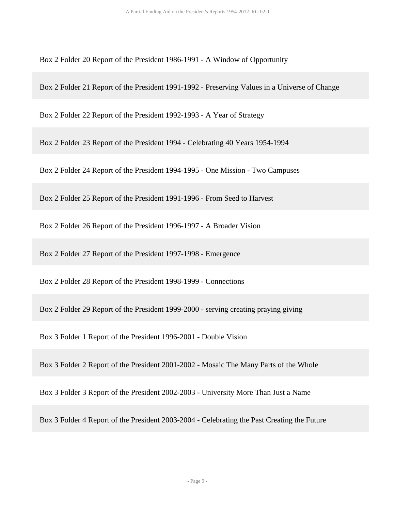Box 2 Folder 20 Report of the President 1986-1991 - A Window of Opportunity

Box 2 Folder 21 Report of the President 1991-1992 - Preserving Values in a Universe of Change

Box 2 Folder 22 Report of the President 1992-1993 - A Year of Strategy

Box 2 Folder 23 Report of the President 1994 - Celebrating 40 Years 1954-1994

Box 2 Folder 24 Report of the President 1994-1995 - One Mission - Two Campuses

Box 2 Folder 25 Report of the President 1991-1996 - From Seed to Harvest

Box 2 Folder 26 Report of the President 1996-1997 - A Broader Vision

Box 2 Folder 27 Report of the President 1997-1998 - Emergence

Box 2 Folder 28 Report of the President 1998-1999 - Connections

Box 2 Folder 29 Report of the President 1999-2000 - serving creating praying giving

Box 3 Folder 1 Report of the President 1996-2001 - Double Vision

Box 3 Folder 2 Report of the President 2001-2002 - Mosaic The Many Parts of the Whole

Box 3 Folder 3 Report of the President 2002-2003 - University More Than Just a Name

Box 3 Folder 4 Report of the President 2003-2004 - Celebrating the Past Creating the Future